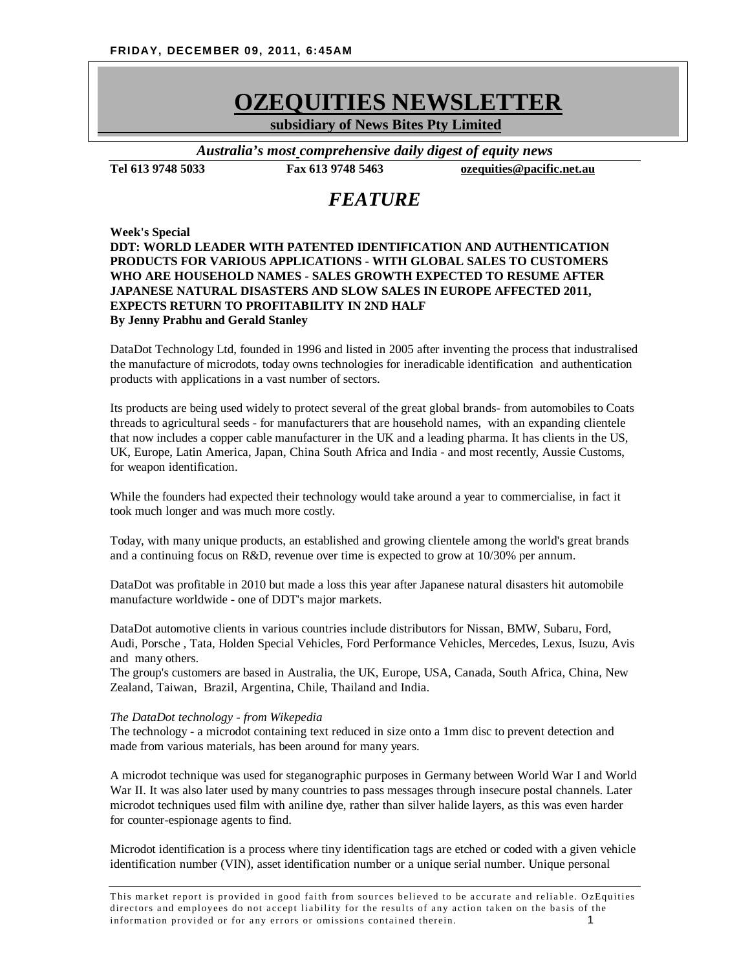# *OZEQUITIES NEWSLETTER OZEQUITIES NEWSLETTER*

 **subsidiary of News Bites Pty Limited**

*Australia's most comprehensive daily digest of equity news*

**Tel 613 9748 5033 Fax 613 9748 5463 [ozequities@pacific.net.au](mailto:ozequities@pacific.net.au)**

# *FEATURE*

# **Week's Special DDT: WORLD LEADER WITH PATENTED IDENTIFICATION AND AUTHENTICATION PRODUCTS FOR VARIOUS APPLICATIONS - WITH GLOBAL SALES TO CUSTOMERS WHO ARE HOUSEHOLD NAMES - SALES GROWTH EXPECTED TO RESUME AFTER JAPANESE NATURAL DISASTERS AND SLOW SALES IN EUROPE AFFECTED 2011, EXPECTS RETURN TO PROFITABILITY IN 2ND HALF By Jenny Prabhu and Gerald Stanley**

DataDot Technology Ltd, founded in 1996 and listed in 2005 after inventing the process that industralised the manufacture of microdots, today owns technologies for ineradicable identification and authentication products with applications in a vast number of sectors.

Its products are being used widely to protect several of the great global brands- from automobiles to Coats threads to agricultural seeds - for manufacturers that are household names, with an expanding clientele that now includes a copper cable manufacturer in the UK and a leading pharma. It has clients in the US, UK, Europe, Latin America, Japan, China South Africa and India - and most recently, Aussie Customs, for weapon identification.

While the founders had expected their technology would take around a year to commercialise, in fact it took much longer and was much more costly.

Today, with many unique products, an established and growing clientele among the world's great brands and a continuing focus on R&D, revenue over time is expected to grow at 10/30% per annum.

DataDot was profitable in 2010 but made a loss this year after Japanese natural disasters hit automobile manufacture worldwide - one of DDT's major markets.

DataDot automotive clients in various countries include distributors for Nissan, BMW, Subaru, Ford, Audi, Porsche , Tata, Holden Special Vehicles, Ford Performance Vehicles, Mercedes, Lexus, Isuzu, Avis and many others.

The group's customers are based in Australia, the UK, Europe, USA, Canada, South Africa, China, New Zealand, Taiwan, Brazil, Argentina, Chile, Thailand and India.

#### *The DataDot technology - from Wikepedia*

The technology - a microdot containing text reduced in size onto a 1mm disc to prevent detection and made from various materials, has been around for many years.

A microdot technique was used for steganographic purposes in Germany between World War I and World War II. It was also later used by many countries to pass messages through insecure postal channels. Later microdot techniques used film with aniline dye, rather than silver halide layers, as this was even harder for counter-espionage agents to find.

Microdot identification is a process where tiny identification tags are etched or coded with a given vehicle identification number (VIN), asset identification number or a unique serial number. Unique personal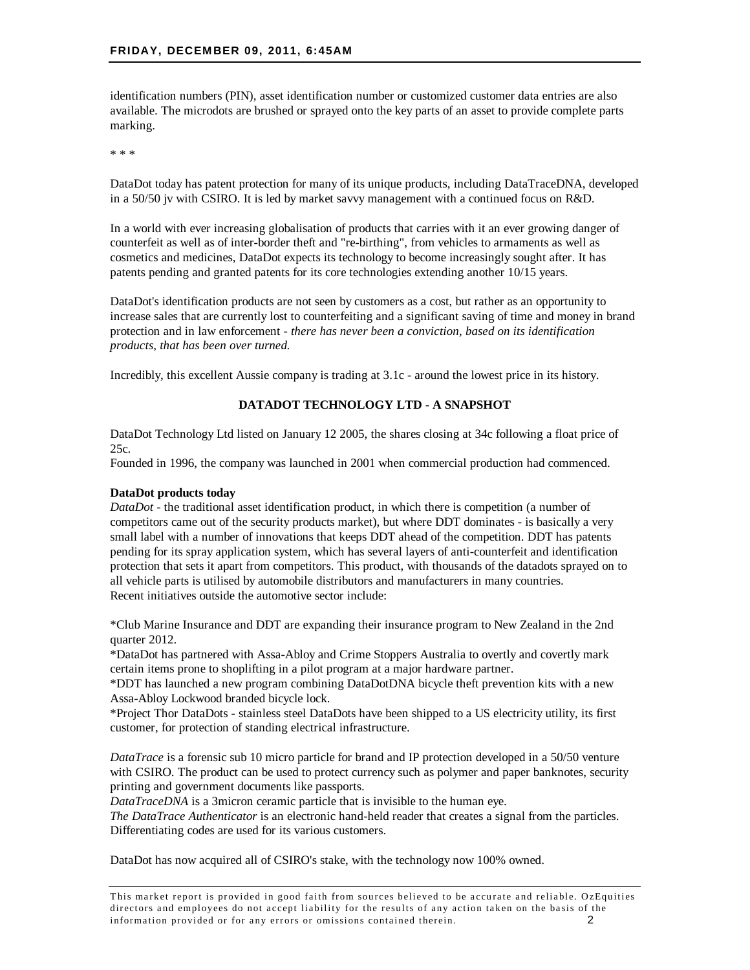identification numbers (PIN), asset identification number or customized customer data entries are also available. The microdots are brushed or sprayed onto the key parts of an asset to provide complete parts marking.

\* \* \*

DataDot today has patent protection for many of its unique products, including DataTraceDNA, developed in a 50/50 jv with CSIRO. It is led by market savvy management with a continued focus on R&D.

In a world with ever increasing globalisation of products that carries with it an ever growing danger of counterfeit as well as of inter-border theft and "re-birthing", from vehicles to armaments as well as cosmetics and medicines, DataDot expects its technology to become increasingly sought after. It has patents pending and granted patents for its core technologies extending another 10/15 years.

DataDot's identification products are not seen by customers as a cost, but rather as an opportunity to increase sales that are currently lost to counterfeiting and a significant saving of time and money in brand protection and in law enforcement - *there has never been a conviction, based on its identification products, that has been over turned.*

Incredibly, this excellent Aussie company is trading at 3.1c - around the lowest price in its history.

# **DATADOT TECHNOLOGY LTD - A SNAPSHOT**

DataDot Technology Ltd listed on January 12 2005, the shares closing at 34c following a float price of 25c.

Founded in 1996, the company was launched in 2001 when commercial production had commenced.

#### **DataDot products today**

*DataDot* - the traditional asset identification product, in which there is competition (a number of competitors came out of the security products market), but where DDT dominates - is basically a very small label with a number of innovations that keeps DDT ahead of the competition. DDT has patents pending for its spray application system, which has several layers of anti-counterfeit and identification protection that sets it apart from competitors. This product, with thousands of the datadots sprayed on to all vehicle parts is utilised by automobile distributors and manufacturers in many countries. Recent initiatives outside the automotive sector include:

\*Club Marine Insurance and DDT are expanding their insurance program to New Zealand in the 2nd quarter 2012.

\*DataDot has partnered with Assa-Abloy and Crime Stoppers Australia to overtly and covertly mark certain items prone to shoplifting in a pilot program at a major hardware partner.

\*DDT has launched a new program combining DataDotDNA bicycle theft prevention kits with a new Assa-Abloy Lockwood branded bicycle lock.

\*Project Thor DataDots - stainless steel DataDots have been shipped to a US electricity utility, its first customer, for protection of standing electrical infrastructure.

*DataTrace* is a forensic sub 10 micro particle for brand and IP protection developed in a 50/50 venture with CSIRO. The product can be used to protect currency such as polymer and paper banknotes, security printing and government documents like passports.

*DataTraceDNA* is a 3micron ceramic particle that is invisible to the human eye.

*The DataTrace Authenticator* is an electronic hand-held reader that creates a signal from the particles. Differentiating codes are used for its various customers.

DataDot has now acquired all of CSIRO's stake, with the technology now 100% owned.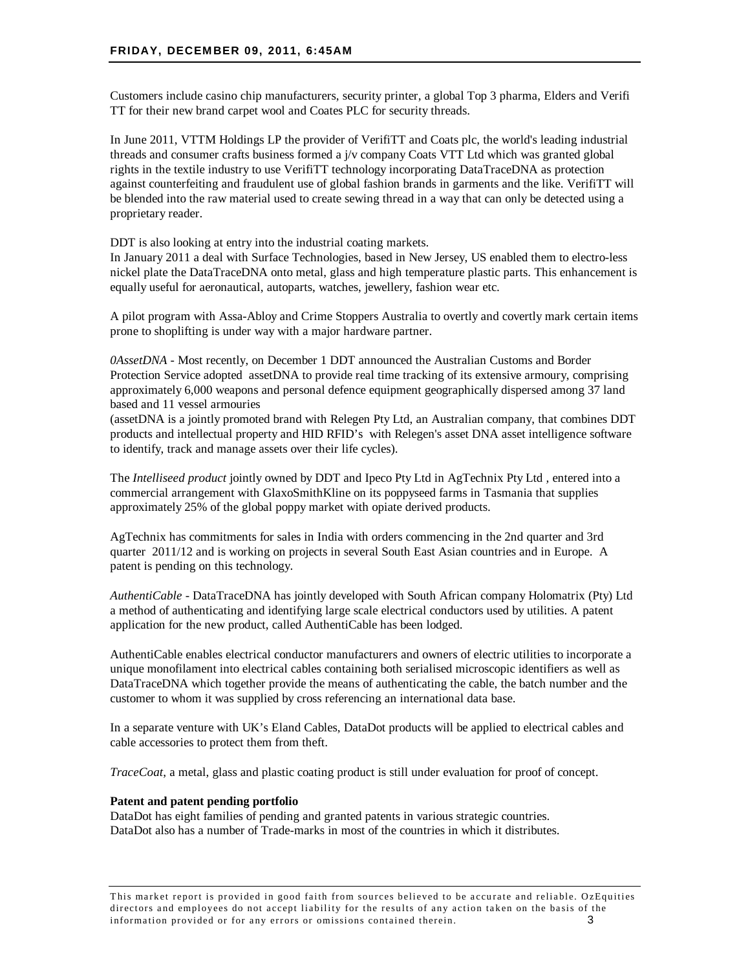Customers include casino chip manufacturers, security printer, a global Top 3 pharma, Elders and Verifi TT for their new brand carpet wool and Coates PLC for security threads.

In June 2011, VTTM Holdings LP the provider of VerifiTT and Coats plc, the world's leading industrial threads and consumer crafts business formed a j/v company Coats VTT Ltd which was granted global rights in the textile industry to use VerifiTT technology incorporating DataTraceDNA as protection against counterfeiting and fraudulent use of global fashion brands in garments and the like. VerifiTT will be blended into the raw material used to create sewing thread in a way that can only be detected using a proprietary reader.

DDT is also looking at entry into the industrial coating markets.

In January 2011 a deal with Surface Technologies, based in New Jersey, US enabled them to electro-less nickel plate the DataTraceDNA onto metal, glass and high temperature plastic parts. This enhancement is equally useful for aeronautical, autoparts, watches, jewellery, fashion wear etc.

A pilot program with Assa-Abloy and Crime Stoppers Australia to overtly and covertly mark certain items prone to shoplifting is under way with a major hardware partner.

*0AssetDNA -* Most recently, on December 1 DDT announced the Australian Customs and Border Protection Service adopted assetDNA to provide real time tracking of its extensive armoury, comprising approximately 6,000 weapons and personal defence equipment geographically dispersed among 37 land based and 11 vessel armouries

(assetDNA is a jointly promoted brand with Relegen Pty Ltd, an Australian company, that combines DDT products and intellectual property and HID RFID's with Relegen's asset DNA asset intelligence software to identify, track and manage assets over their life cycles).

The *Intelliseed product* jointly owned by DDT and Ipeco Pty Ltd in AgTechnix Pty Ltd *,* entered into a commercial arrangement with GlaxoSmithKline on its poppyseed farms in Tasmania that supplies approximately 25% of the global poppy market with opiate derived products.

AgTechnix has commitments for sales in India with orders commencing in the 2nd quarter and 3rd quarter 2011/12 and is working on projects in several South East Asian countries and in Europe. A patent is pending on this technology.

*AuthentiCable -* DataTraceDNA has jointly developed with South African company Holomatrix (Pty) Ltd a method of authenticating and identifying large scale electrical conductors used by utilities. A patent application for the new product, called AuthentiCable has been lodged.

AuthentiCable enables electrical conductor manufacturers and owners of electric utilities to incorporate a unique monofilament into electrical cables containing both serialised microscopic identifiers as well as DataTraceDNA which together provide the means of authenticating the cable, the batch number and the customer to whom it was supplied by cross referencing an international data base.

In a separate venture with UK's Eland Cables, DataDot products will be applied to electrical cables and cable accessories to protect them from theft.

*TraceCoat*, a metal, glass and plastic coating product is still under evaluation for proof of concept.

#### **Patent and patent pending portfolio**

DataDot has eight families of pending and granted patents in various strategic countries. DataDot also has a number of Trade-marks in most of the countries in which it distributes.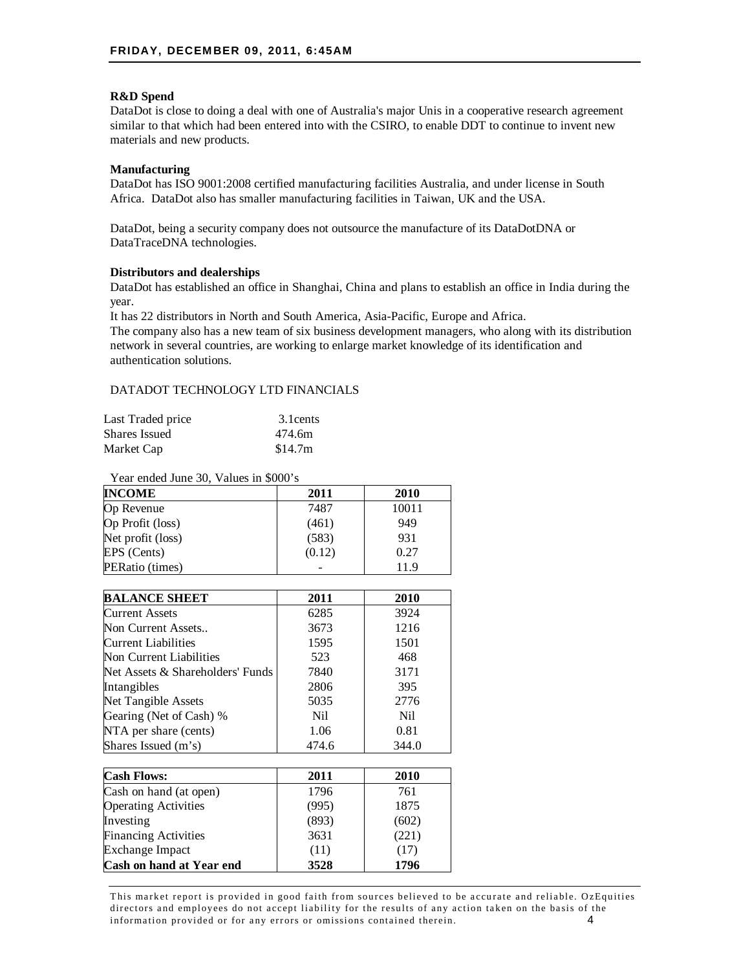# **R&D Spend**

DataDot is close to doing a deal with one of Australia's major Unis in a cooperative research agreement similar to that which had been entered into with the CSIRO, to enable DDT to continue to invent new materials and new products.

# **Manufacturing**

DataDot has ISO 9001:2008 certified manufacturing facilities Australia, and under license in South Africa. DataDot also has smaller manufacturing facilities in Taiwan, UK and the USA.

DataDot, being a security company does not outsource the manufacture of its DataDotDNA or DataTraceDNA technologies.

# **Distributors and dealerships**

DataDot has established an office in Shanghai, China and plans to establish an office in India during the year.

It has 22 distributors in North and South America, Asia-Pacific, Europe and Africa.

The company also has a new team of six business development managers, who along with its distribution network in several countries, are working to enlarge market knowledge of its identification and authentication solutions.

# DATADOT TECHNOLOGY LTD FINANCIALS

| Last Traded price | 3.1 cents |
|-------------------|-----------|
| Shares Issued     | 474.6m    |
| Market Cap        | \$14.7m   |

Year ended June 30, Values in \$000's

| <b>INCOME</b>     | 2011   | 2010  |
|-------------------|--------|-------|
| Op Revenue        | 7487   | 10011 |
| Op Profit (loss)  | (461)  | 949   |
| Net profit (loss) | (583)  | 931   |
| EPS (Cents)       | (0.12) | 0.27  |
| PERatio (times)   |        | 119   |

| <b>BALANCE SHEET</b>             | 2011  | 2010  |
|----------------------------------|-------|-------|
| <b>Current Assets</b>            | 6285  | 3924  |
| Non Current Assets               | 3673  | 1216  |
| Current Liabilities              | 1595  | 1501  |
| Non Current Liabilities          | 523   | 468   |
| Net Assets & Shareholders' Funds | 7840  | 3171  |
| Intangibles                      | 2806  | 395   |
| Net Tangible Assets              | 5035  | 2776  |
| Gearing (Net of Cash) %          | Nil.  | Nil   |
| NTA per share (cents)            | 1.06  | 0.81  |
| Shares Issued (m's)              | 474.6 | 344.0 |

| <b>Cash Flows:</b>          | 2011  | 2010  |
|-----------------------------|-------|-------|
| Cash on hand (at open)      | 1796  | 761   |
| <b>Operating Activities</b> | (995) | 1875  |
| Investing                   | (893) | (602) |
| <b>Financing Activities</b> | 3631  | (221) |
| <b>Exchange Impact</b>      | (11)  | (17)  |
| Cash on hand at Year end    | 3528  | 1796  |

This market report is provided in good faith from sources believed to be accurate and reliable. OzEquities directors and employees do not accept liability for the results of any action taken on the basis of the information provided or for any errors or omissions contained therein. 4